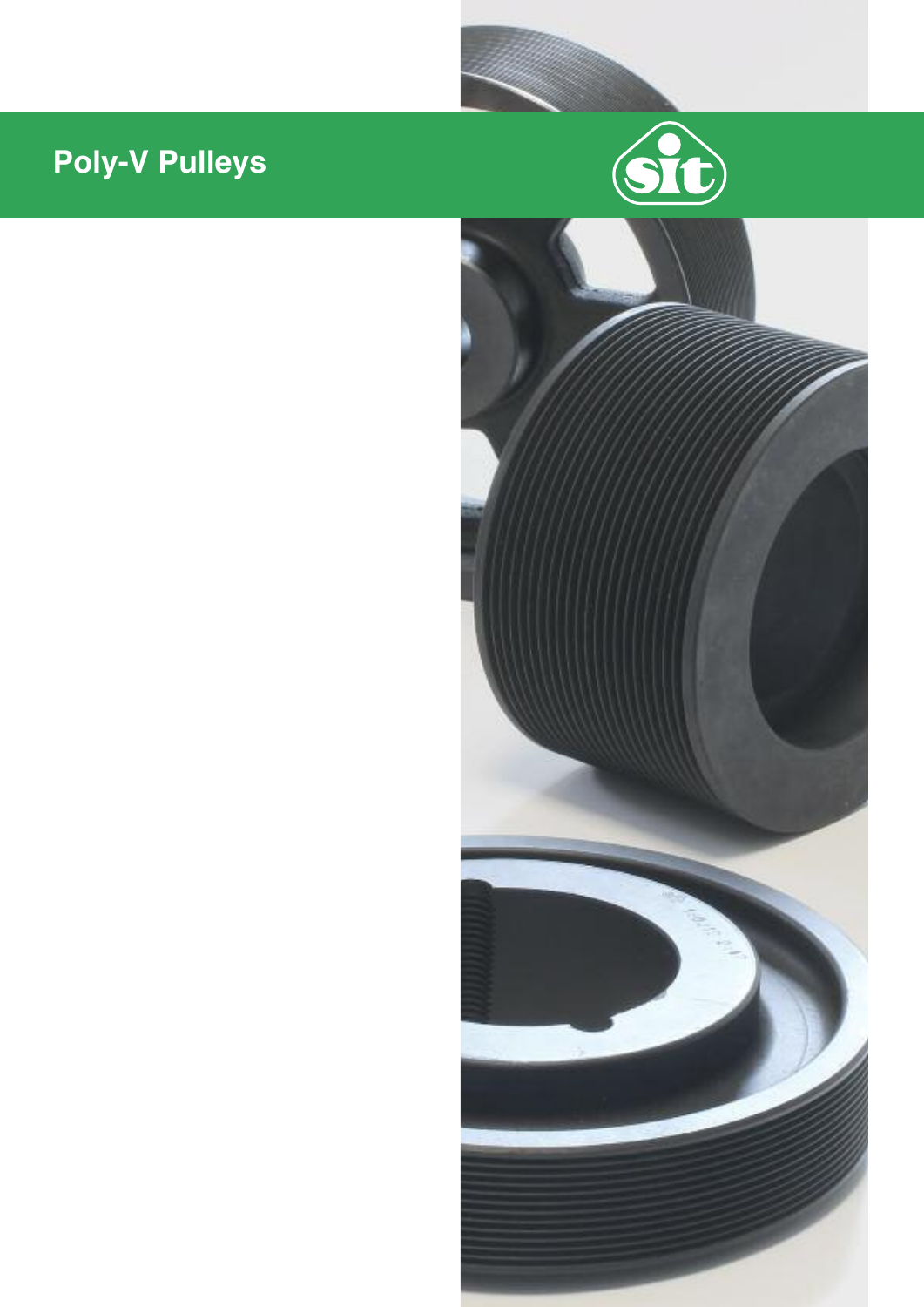# **Poly-V Pulleys**



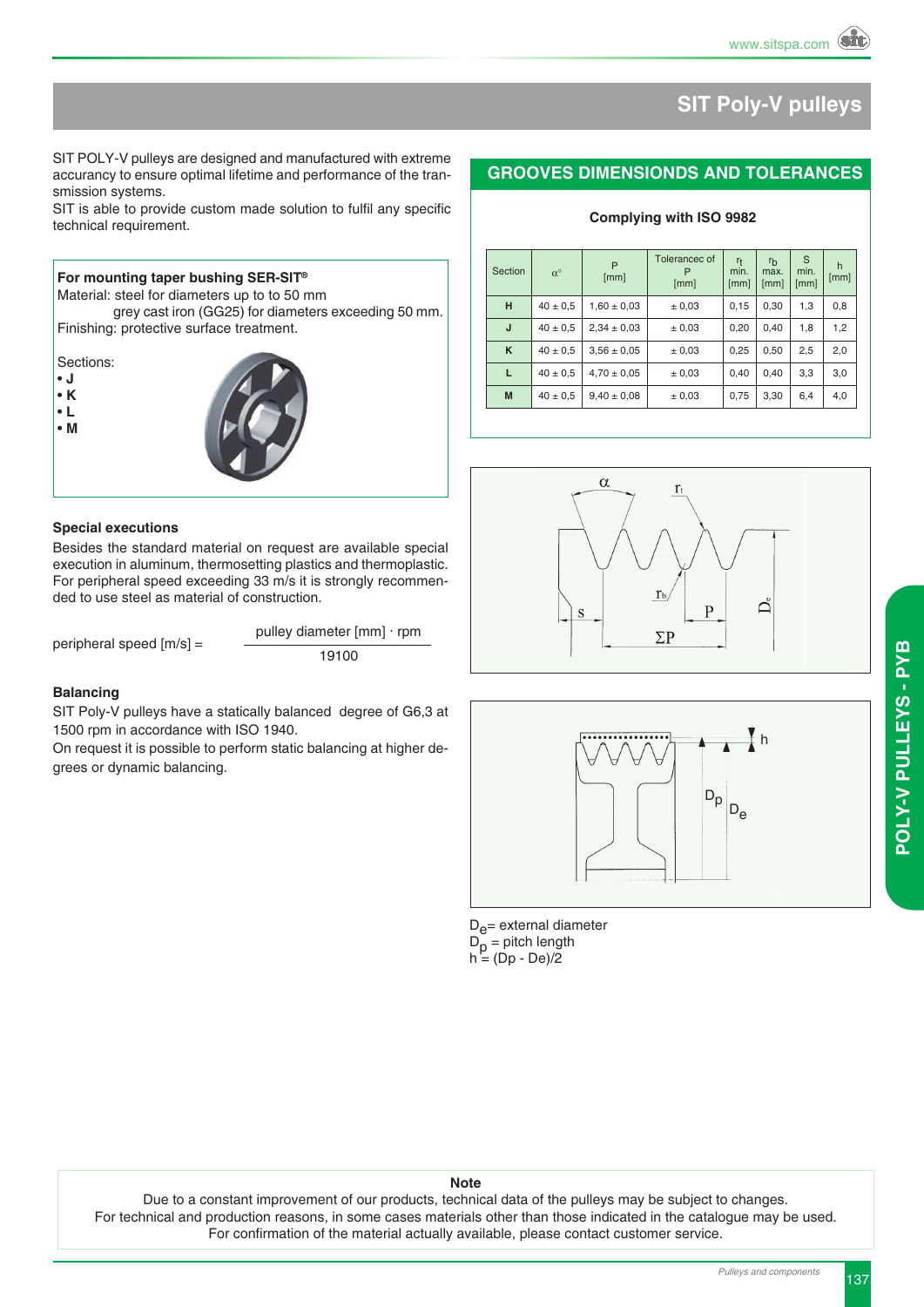### **SIT Poly-V pulleys**

#### **GROOVES DIMENSIONDS AND TOLERANCES**

**Complying with ISO 9982**

| Section | $\alpha^{\circ}$ | P<br>[mm]       | Tolerancec of<br>[mm] | $r_{\rm t}$<br>min.<br>[mm] | $r_{b}$<br>max.<br>[mm] | S<br>min.<br>[mm] | h<br>[mm] |
|---------|------------------|-----------------|-----------------------|-----------------------------|-------------------------|-------------------|-----------|
| н       | $40 \pm 0.5$     | $1.60 \pm 0.03$ | ± 0,03                | 0.15                        | 0,30                    | 1,3               | 0,8       |
| J       | $40 \pm 0.5$     | $2,34 \pm 0,03$ | ± 0,03                | 0,20                        | 0,40                    | 1,8               | 1,2       |
| K       | $40 \pm 0.5$     | $3.56 \pm 0.05$ | ± 0,03                | 0,25                        | 0,50                    | 2,5               | 2,0       |
| L       | $40 \pm 0.5$     | $4,70 \pm 0,05$ | ± 0,03                | 0.40                        | 0.40                    | 3.3               | 3,0       |
| M       | $40 \pm 0.5$     | $9,40 \pm 0,08$ | ± 0,03                | 0,75                        | 3,30                    | 6,4               | 4,0       |





 $D_{\rho}$ = external diameter D<sub>p</sub> = pitch length<br>h = (Dp - De)/2

#### **Note**

Due to a constant improvement of our products, technical data of the pulleys may be subject to changes. For technical and production reasons, in some cases materials other than those indicated in the catalogue may be used. For confirmation of the material actually available, please contact customer service.

SIT POLY-V pulleys are designed and manufactured with extreme accurancy to ensure optimal lifetime and performance of the transmission systems.

SIT is able to provide custom made solution to fulfil any specific technical requirement.



**For mounting taper bushing SER-SIT®**

#### **Special executions**

Besides the standard material on request are available special execution in aluminum, thermosetting plastics and thermoplastic. For peripheral speed exceeding 33 m/s it is strongly recommended to use steel as material of construction.

peripheral speed  $[m/s] =$   $\frac{p_{\text{max}} - p_{\text{max}}}{19100}$ 

pulley diameter [mm] ∙ rpm

#### **Balancing**

SIT Poly-V pulleys have a statically balanced degree of G6,3 at 1500 rpm in accordance with ISO 1940.

On request it is possible to perform static balancing at higher degrees or dynamic balancing.

**y S - P y** <u>ه</u>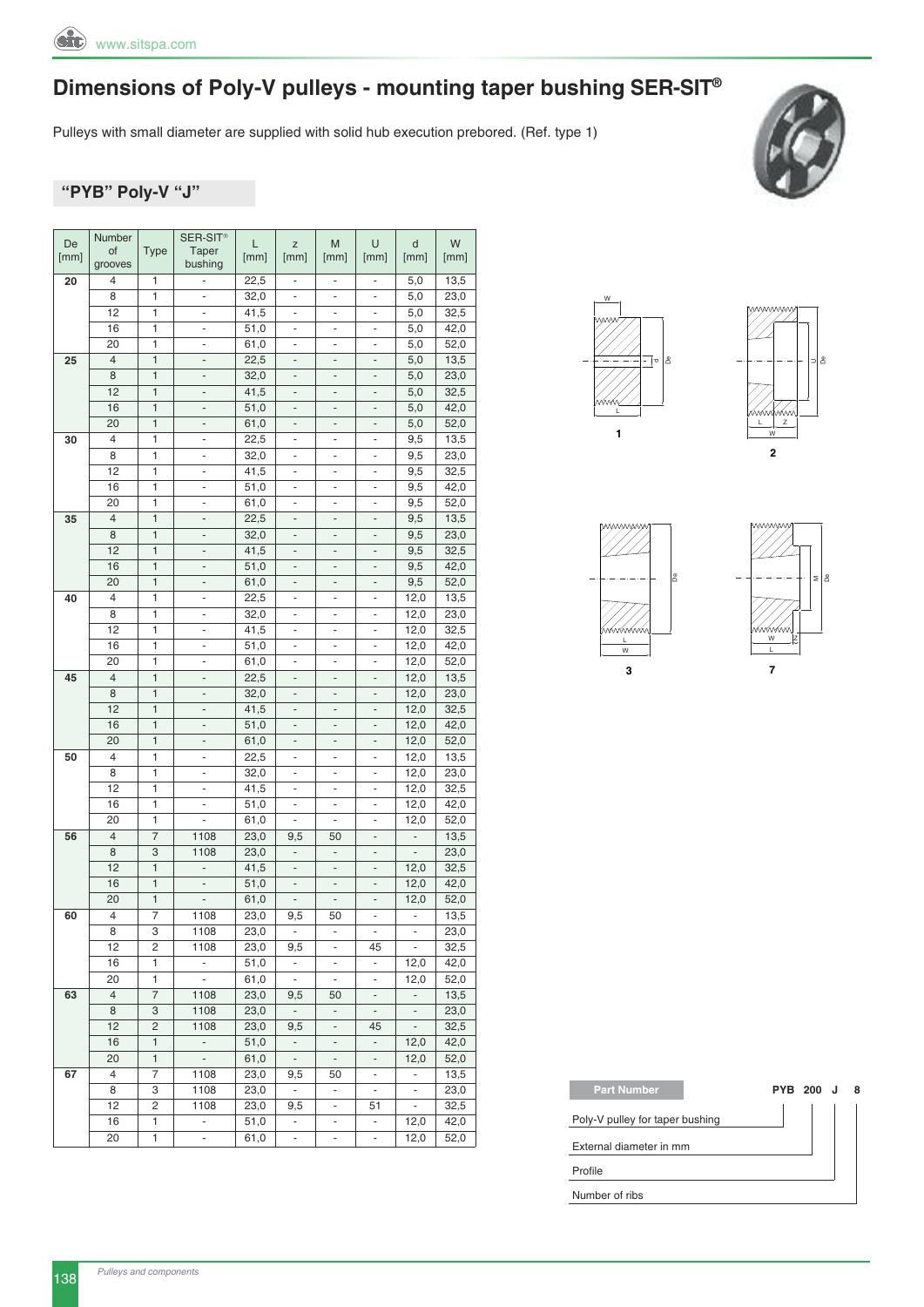

Pulleys with small diameter are supplied with solid hub execution prebored. (Ref. type 1)



#### **"PyB" Poly-V "J"**

| De   | Number         |              | SER-SIT <sup>®</sup>         | L            | Z                            | M                            | U                        | d                        | W    |
|------|----------------|--------------|------------------------------|--------------|------------------------------|------------------------------|--------------------------|--------------------------|------|
| [mm] | of             | <b>Type</b>  | Taper                        | [mm]         | [mm]                         | [mm]                         | [mm]                     | [mm]                     | [mm] |
|      | grooves        |              | bushing                      |              |                              |                              |                          |                          |      |
| 20   | 4              | 1            | ÷,                           | 22,5         | ۰                            | ۰                            | $\overline{\phantom{a}}$ | 5,0                      | 13,5 |
|      | 8              | 1            | ÷,                           | 32,0         | $\overline{\phantom{0}}$     | $\overline{\phantom{0}}$     | $\overline{\phantom{m}}$ | 5,0                      | 23,0 |
|      | 12             | 1            | -                            | 41,5         | ÷                            | $\overline{\phantom{0}}$     |                          | 5,0                      | 32,5 |
|      | 16             | 1            | ÷                            | 51,0         | $\blacksquare$               | $\blacksquare$               | $\blacksquare$           | 5,0                      | 42,0 |
|      | 20             | 1            | ÷,                           | 61,0         | $\qquad \qquad \blacksquare$ | ÷,                           | ÷,                       | 5,0                      | 52,0 |
| 25   | $\overline{4}$ | $\mathbf{1}$ | $\overline{\phantom{m}}$     | 22,5         | $\qquad \qquad -$            | $\qquad \qquad \blacksquare$ | $\overline{a}$           | 5,0                      | 13,5 |
|      | 8              | 1            | $\frac{1}{2}$                | 32,0         | $\blacksquare$               | $\overline{a}$               | $\overline{a}$           | 5,0                      | 23,0 |
|      | 12             | $\mathbf{1}$ | $\overline{\phantom{m}}$     | 41,5         | $\qquad \qquad -$            | $\qquad \qquad -$            | $\overline{\phantom{a}}$ | 5,0                      | 32,5 |
|      | 16             | 1            | $\overline{\phantom{m}}$     | 51,0         | $\qquad \qquad -$            | $\qquad \qquad -$            | $\overline{\phantom{a}}$ | 5,0                      | 42,0 |
|      | 20             | 1            | $\overline{\phantom{m}}$     | 61,0         | -                            | $\qquad \qquad -$            | $\overline{\phantom{m}}$ | 5,0                      | 52,0 |
| 30   | 4              | 1            | $\frac{1}{2}$                | 22,5         | $\overline{\phantom{m}}$     | ۰                            | $\overline{\phantom{a}}$ | 9,5                      | 13,5 |
|      | 8              | 1            | ÷,                           | 32,0         | $\overline{\phantom{a}}$     | $\overline{\phantom{a}}$     | ÷,                       | 9,5                      | 23,0 |
|      | 12             | 1            |                              | 41,5         | $\overline{\phantom{0}}$     | $\overline{\phantom{0}}$     | $\overline{\phantom{a}}$ | 9,5                      | 32,5 |
|      | 16             | 1            | $\frac{1}{2}$                | 51,0         | $\frac{1}{2}$                | $\qquad \qquad \blacksquare$ | $\overline{\phantom{a}}$ | 9,5                      | 42,0 |
|      | 20             | 1            | $\overline{\phantom{m}}$     | 61,0         | $\frac{1}{2}$                | $\overline{\phantom{0}}$     | $\overline{\phantom{a}}$ | 9,5                      | 52,0 |
| 35   | $\overline{4}$ | $\mathbf{1}$ | $\frac{1}{2}$                | 22,5         | $\qquad \qquad -$            | $\qquad \qquad \blacksquare$ | $\overline{a}$           | 9,5                      | 13,5 |
|      | 8              | $\mathbf{1}$ | $\overline{a}$               | 32,0         | ÷,                           | ÷                            | $\blacksquare$           | 9,5                      | 23,0 |
|      | 12             | 1            | $\overline{\phantom{m}}$     | 41,5         | ÷                            | $\qquad \qquad -$            | $\overline{\phantom{a}}$ | 9,5                      | 32,5 |
|      | 16             | 1            |                              | 51,0         | $\overline{a}$               | ÷,                           | $\overline{a}$           | 9,5                      | 42,0 |
|      | 20             | 1            | $\overline{\phantom{m}}$     | 61,0         | $\qquad \qquad -$            | -                            | $\overline{\phantom{m}}$ | 9,5                      | 52,0 |
| 40   | 4              | 1            | $\frac{1}{2}$                | 22,5         | $\blacksquare$               | $\qquad \qquad \blacksquare$ | $\overline{\phantom{a}}$ | 12,0                     | 13,5 |
|      | 8              | 1            | ÷,                           | 32,0         | $\qquad \qquad \blacksquare$ | $\overline{\phantom{a}}$     | $\overline{\phantom{a}}$ | 12,0                     | 23,0 |
|      | 12             | 1            | ÷,                           | 41,5         | ÷,                           | $\overline{\phantom{a}}$     | ÷,                       | 12,0                     | 32,5 |
|      | 16             | 1            | ÷,                           |              | ä,                           | ÷,                           | ÷,                       |                          |      |
|      |                |              |                              | 51,0         |                              |                              |                          | 12,0                     | 42,0 |
|      | 20             | 1            | -                            | 61,0         | -                            | -                            | ۰                        | 12,0                     | 52,0 |
| 45   | $\overline{4}$ | $\mathbf{1}$ | $\frac{1}{2}$                | 22,5         | $\qquad \qquad -$            | $\qquad \qquad -$            | $\overline{a}$           | 12,0                     | 13,5 |
|      | 8              | $\mathbf{1}$ | $\frac{1}{2}$                | 32,0         | $\frac{1}{2}$                | ÷,                           | $\blacksquare$           | 12,0                     | 23,0 |
|      | 12             | $\mathbf{1}$ | -                            | 41,5         | ÷                            | $\qquad \qquad \blacksquare$ | $\overline{\phantom{a}}$ | 12,0                     | 32,5 |
|      | 16             | 1            | $\frac{1}{2}$                | 51,0         | $\qquad \qquad \blacksquare$ | $\overline{\phantom{a}}$     | $\overline{\phantom{m}}$ | 12,0                     | 42,0 |
|      | 20             | $\mathbf{1}$ | -                            | 61,0         | $\qquad \qquad -$            | $\qquad \qquad -$            |                          | 12,0                     | 52,0 |
| 50   | 4              | 1            | $\overline{\phantom{m}}$     | 22,5         | $\frac{1}{2}$                | $\overline{\phantom{a}}$     | $\overline{\phantom{a}}$ | 12,0                     | 13,5 |
|      | 8              | 1            | -                            | 32,0         | ÷                            | ÷                            | $\frac{1}{2}$            | 12,0                     | 23,0 |
|      | 12             | 1            | $\overline{\phantom{m}}$     | 41,5         | $\overline{\phantom{m}}$     | ٠                            | ÷,                       | 12,0                     | 32,5 |
|      | 16             | 1            | ÷,                           | 51,0         | ÷,                           | ÷                            | ä,                       | 12,0                     | 42,0 |
|      | 20             | 1            |                              | 61,0         | ÷,                           | $\overline{\phantom{0}}$     | $\overline{\phantom{a}}$ | 12,0                     | 52,0 |
| 56   | $\overline{4}$ | 7            | 1108                         | 23,0         | 9,5                          | 50                           | $\overline{\phantom{a}}$ | $\overline{\phantom{a}}$ | 13,5 |
|      | 8              | 3            | 1108                         | 23,0         | ÷                            | $\qquad \qquad \blacksquare$ |                          |                          | 23,0 |
|      | 12             | $\mathbf{1}$ | ÷,                           | 41,5         | $\overline{\phantom{0}}$     | $\overline{\phantom{a}}$     | $\overline{\phantom{a}}$ | 12,0                     | 32,5 |
|      | 16             | 1            | $\overline{\phantom{m}}$     | 51,0         | $\qquad \qquad -$            | $\qquad \qquad \blacksquare$ | $\overline{a}$           | 12,0                     | 42,0 |
|      | 20             | $\mathbf{1}$ | $\qquad \qquad \blacksquare$ | 61,0         | $\overline{\phantom{0}}$     | ۰                            | $\overline{\phantom{a}}$ | 12,0                     | 52,0 |
| 60   | 4              | 7            | 1108                         | 23,0         | 9,5                          | 50                           | $\overline{\phantom{a}}$ | ÷,                       | 13,5 |
|      | 8              | 3            | 1108                         | 23,0         | $\blacksquare$               | ۰                            | ۰                        | $\overline{\phantom{a}}$ | 23,0 |
|      | 12             | 2            | 1108                         | 23,0         | 9,5                          | $\overline{\phantom{a}}$     | 45                       | $\overline{\phantom{a}}$ | 32,5 |
|      | 16             | 1            | $\overline{\phantom{a}}$     | 51,0         | ÷.                           | $\overline{\phantom{a}}$     | ÷,                       | 12,0                     | 42,0 |
|      | 20             | 1            | $\Box$                       | 61,0         | $\omega$                     | $\overline{\phantom{a}}$     | $\overline{\phantom{a}}$ | 12,0                     | 52,0 |
| 63   | $\overline{4}$ | 7            | 1108                         | 23,0         | 9,5                          | 50                           | $\overline{\phantom{a}}$ | ÷,                       | 13,5 |
|      | 8              | 3            | 1108                         | 23,0         | $\sim$                       | $\overline{\phantom{a}}$     | ۳                        | ۳                        | 23,0 |
|      | 12             | 2            | 1108                         | 23,0         | 9,5                          | $\omega$                     | 45                       | $\Box$                   | 32,5 |
|      | 16             | 1            | $\omega$                     | 51,0         | $\overline{\phantom{a}}$     | $\overline{\phantom{a}}$     | $\overline{\phantom{a}}$ | 12,0                     | 42,0 |
|      | 20             | $\mathbf{1}$ | $\sim$                       | 61,0         | $\sim$                       | $\overline{\phantom{a}}$     | $\overline{\phantom{a}}$ | 12,0                     | 52,0 |
|      | 4              | 7            | 1108                         |              | 9,5                          |                              | $\Box$                   | $\overline{\phantom{a}}$ | 13,5 |
| 67   |                |              |                              | 23,0<br>23,0 |                              | 50                           |                          |                          | 23,0 |
|      | 8              | 3            | 1108                         |              | $\blacksquare$               | ۰                            | $\overline{\phantom{a}}$ | ۰                        |      |
|      | 12             | 2            | 1108                         | 23,0         | 9,5                          | ۰                            | 51                       | $\blacksquare$           | 32,5 |
|      | 16             | 1            | $\blacksquare$               | 51,0         | $\blacksquare$               | $\overline{\phantom{m}}$     | $\blacksquare$           | 12,0                     | 42,0 |
|      | 20             | 1            | ۰                            | 61,0         | $\blacksquare$               | ۰                            | $\blacksquare$           | 12,0                     | 52,0 |









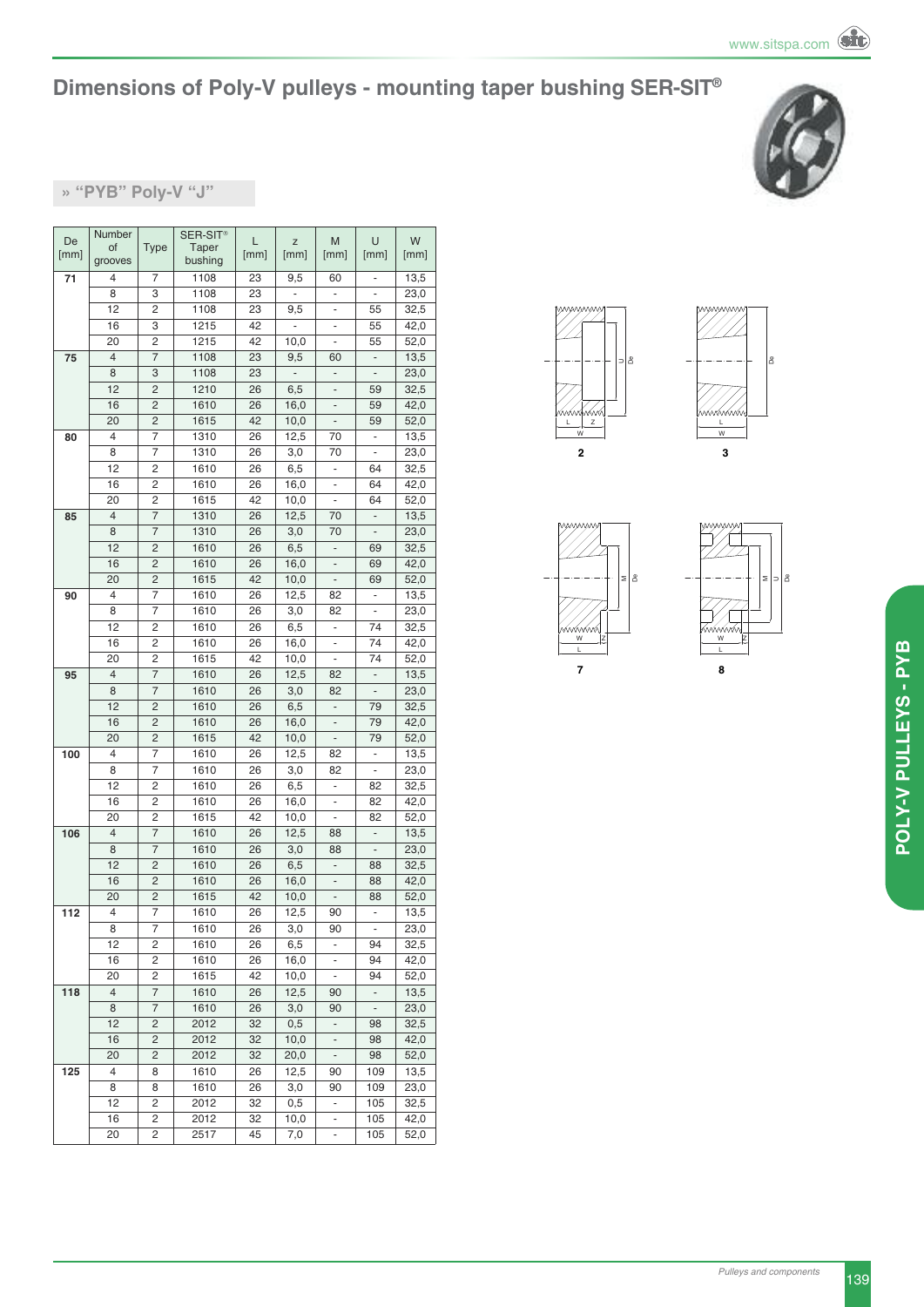

#### **» "PyB" Poly-V "J"**

| De   | Number         |                | SER-SIT <sup>®</sup> | L    | Z    | M                            | U                        | W    |
|------|----------------|----------------|----------------------|------|------|------------------------------|--------------------------|------|
| [mm] | of             | Type           | Taper                | [mm] | [mm] | [mm]                         | [mm]                     | [mm] |
|      | grooves        |                | bushing              |      |      |                              |                          |      |
| 71   | 4              | 7              | 1108                 | 23   | 9,5  | 60                           | ۰                        | 13,5 |
|      | 8              | 3              | 1108                 | 23   | ÷    | -                            | $\overline{\phantom{a}}$ | 23,0 |
|      | 12             | 2              | 1108                 | 23   | 9,5  | -                            | 55                       | 32,5 |
|      | 16             | 3              | 1215                 | 42   | L,   | ÷,                           | 55                       | 42,0 |
|      | 20             | 2              | 1215                 | 42   | 10,0 | ÷                            | 55                       | 52,0 |
| 75   | $\overline{4}$ | $\overline{7}$ | 1108                 | 23   | 9,5  | 60                           | $\overline{\phantom{a}}$ | 13,5 |
|      | 8              | 3              | 1108                 | 23   |      | ä,                           |                          | 23,0 |
|      | 12             | 2              | 1210                 | 26   | 6,5  | ÷                            | 59                       | 32,5 |
|      | 16             | 2              | 1610                 | 26   | 16,0 | -                            | 59                       | 42,0 |
|      | 20             | $\overline{c}$ | 1615                 | 42   | 10,0 | -                            | 59                       | 52,0 |
| 80   | 4              | 7              | 1310                 | 26   | 12,5 | 70                           | $\blacksquare$           | 13,5 |
|      | 8              | 7              | 1310                 | 26   | 3,0  | 70                           | $\overline{\phantom{a}}$ | 23,0 |
|      | 12             | 2              | 1610                 | 26   | 6,5  | $\frac{1}{2}$                | 64                       | 32,5 |
|      | 16             | 2              | 1610                 | 26   | 16,0 | ÷,                           | 64                       | 42,0 |
|      | 20             | 2              | 1615                 | 42   | 10,0 | ÷                            | 64                       | 52,0 |
| 85   | $\overline{4}$ | 7              | 1310                 | 26   | 12,5 | 70                           | $\overline{\phantom{a}}$ | 13,5 |
|      | 8              | 7              | 1310                 | 26   | 3,0  | 70                           |                          | 23,0 |
|      | 12             | 2              | 1610                 | 26   | 6,5  | ÷,                           | 69                       | 32,5 |
|      | 16             | 2              | 1610                 | 26   | 16,0 | $\qquad \qquad \blacksquare$ | 69                       | 42,0 |
|      | 20             | $\overline{c}$ | 1615                 | 42   | 10,0 | $\overline{\phantom{a}}$     | 69                       | 52,0 |
| 90   | 4              | 7              | 1610                 | 26   | 12,5 | 82                           | ÷,                       | 13,5 |
|      | 8              | 7              | 1610                 | 26   | 3,0  | 82                           | $\overline{\phantom{a}}$ | 23,0 |
|      | 12             | 2              | 1610                 | 26   | 6,5  | $\frac{1}{2}$                | 74                       | 32,5 |
|      | 16             | 2              | 1610                 | 26   | 16,0 | ä,                           | 74                       | 42,0 |
|      | 20             | 2              | 1615                 | 42   | 10,0 | ÷,                           | 74                       | 52,0 |
| 95   | $\overline{4}$ | $\overline{7}$ | 1610                 | 26   | 12,5 | 82                           | $\frac{1}{2}$            | 13,5 |
|      | 8              | 7              | 1610                 | 26   | 3,0  | 82                           |                          | 23,0 |
|      | 12             | 2              | 1610                 | 26   | 6,5  | $\overline{\phantom{a}}$     | 79                       | 32,5 |
|      | 16             | 2              | 1610                 | 26   | 16,0 | ÷,                           | 79                       | 42,0 |
|      | 20             | $\overline{c}$ | 1615                 | 42   | 10,0 | $\overline{\phantom{m}}$     | 79                       | 52,0 |
| 100  | 4              | 7              | 1610                 | 26   | 12,5 | 82                           | L,                       | 13,5 |
|      | 8              | 7              | 1610                 | 26   | 3,0  | 82                           | ÷                        | 23,0 |
|      | 12             | 2              | 1610                 | 26   | 6,5  | ÷,                           | 82                       | 32,5 |
|      | 16             | 2              | 1610                 | 26   | 16,0 | ä,                           | 82                       | 42,0 |
|      | 20             | 2              | 1615                 | 42   | 10,0 | ÷                            | 82                       | 52,0 |
| 106  | 4              | 7              | 1610                 | 26   | 12,5 | 88                           | $\overline{\phantom{a}}$ | 13,5 |
|      | 8              | 7              | 1610                 | 26   | 3,0  | 88                           |                          | 23,0 |
|      | 12             | 2              | 1610                 | 26   | 6,5  | $\overline{\phantom{a}}$     | 88                       | 32,5 |
|      | 16             | 2              | 1610                 | 26   | 16,0 | $\overline{\phantom{a}}$     | 88                       | 42,0 |
|      | 20             | 2              | 1615                 | 42   | 10,0 | $\overline{\phantom{0}}$     | 88                       | 52,0 |
| 112  | 4              | 7              | 1610                 | 26   | 12,5 | 90                           |                          | 13,5 |
|      | 8              | 7              | 1610                 | 26   | 3,0  | 90                           | $\overline{\phantom{a}}$ | 23,0 |
|      | 12             | 2              | 1610                 | 26   | 6,5  | ۰                            | 94                       | 32,5 |
|      | 16             | 2              | 1610                 | 26   | 16,0 |                              | 94                       | 42,0 |
|      | 20             | 2              | 1615                 | 42   | 10,0 | ÷                            | 94                       | 52,0 |
| 118  | $\overline{4}$ | 7              | 1610                 | 26   | 12,5 | 90                           | $\overline{\phantom{a}}$ | 13,5 |
|      | 8              | 7              | 1610                 | 26   | 3,0  | 90                           | ٠                        | 23,0 |
|      | 12             | $\overline{c}$ | 2012                 | 32   | 0,5  | ÷,                           | 98                       | 32,5 |
|      | 16             | 2              | 2012                 | 32   | 10,0 | $\overline{\phantom{a}}$     | 98                       | 42,0 |
|      | 20             | 2              | 2012                 | 32   | 20,0 | $\overline{\phantom{a}}$     | 98                       | 52,0 |
| 125  | 4              | 8              | 1610                 | 26   | 12,5 | 90                           | 109                      | 13,5 |
|      | 8              | 8              | 1610                 | 26   | 3,0  | 90                           | 109                      | 23,0 |
|      | 12             | 2              | 2012                 | 32   | 0,5  |                              | 105                      | 32,5 |
|      | 16             | 2              | 2012                 | 32   | 10,0 |                              | 105                      | 42,0 |
|      | 20             | 2              | 2517                 | 45   | 7,0  | ÷,                           | 105                      | 52,0 |







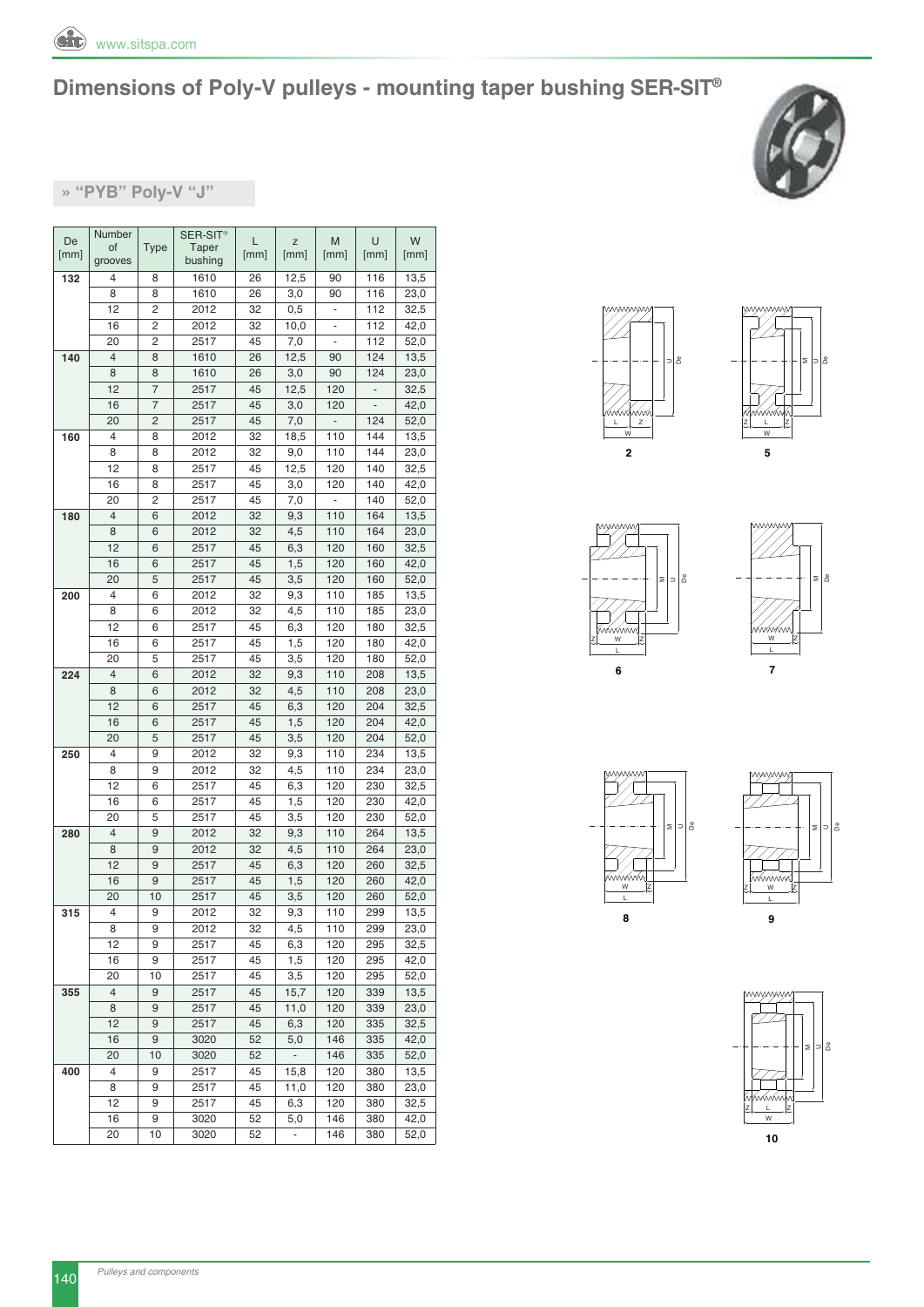



**» "PyB" Poly-V "J"**

| De   | Number         |                | SER-SIT <sup>®</sup> | L    | Z                        | M                            | U             | W    |
|------|----------------|----------------|----------------------|------|--------------------------|------------------------------|---------------|------|
| [mm] | of             | <b>Type</b>    | Taper                | [mm] | [mm]                     | [mm]                         | [mm]          | [mm] |
|      | grooves        |                | bushing              |      |                          |                              |               |      |
| 132  | 4              | 8              | 1610                 | 26   | 12,5                     | 90                           | 116           | 13,5 |
|      | 8              | 8              | 1610                 | 26   | 3,0                      | 90                           | 116           | 23,0 |
|      | 12             | 2              | 2012                 | 32   | 0,5                      | ÷,                           | 112           | 32,5 |
|      | 16             | 2              | 2012                 | 32   | 10,0                     | ÷                            | 112           | 42,0 |
|      | 20             | $\overline{c}$ | 2517                 | 45   | 7,0                      | $\qquad \qquad \blacksquare$ | 112           | 52,0 |
| 140  | $\overline{4}$ | 8              | 1610                 | 26   | 12,5                     | 90                           | 124           | 13,5 |
|      | 8              | 8              | 1610                 | 26   | 3,0                      | 90                           | 124           | 23,0 |
|      | 12             | 7              | 2517                 | 45   | 12,5                     | 120                          | $\frac{1}{2}$ | 32,5 |
|      | 16             | 7              | 2517                 | 45   | 3,0                      | 120                          |               | 42,0 |
|      | 20             | 2              | 2517                 | 45   | 7,0                      | ÷,                           | 124           | 52,0 |
| 160  | 4              | 8              | 2012                 | 32   | 18,5                     | 110                          | 144           | 13,5 |
|      | 8              | 8              | 2012                 | 32   |                          | 110                          | 144           | 23,0 |
|      |                |                |                      |      | 9,0                      |                              |               |      |
|      | 12             | 8              | 2517                 | 45   | 12,5                     | 120                          | 140           | 32,5 |
|      | 16             | 8              | 2517                 | 45   | 3,0                      | 120                          | 140           | 42,0 |
|      | 20             | 2              | 2517                 | 45   | 7,0                      | $\overline{\phantom{a}}$     | 140           | 52,0 |
| 180  | $\overline{4}$ | 6              | 2012                 | 32   | 9,3                      | 110                          | 164           | 13,5 |
|      | 8              | 6              | 2012                 | 32   | 4,5                      | 110                          | 164           | 23,0 |
|      | 12             | 6              | 2517                 | 45   | 6,3                      | 120                          | 160           | 32,5 |
|      | 16             | 6              | 2517                 | 45   | 1,5                      | 120                          | 160           | 42,0 |
|      | 20             | 5              | 2517                 | 45   | 3,5                      | 120                          | 160           | 52,0 |
| 200  | 4              | 6              | 2012                 | 32   | 9,3                      | 110                          | 185           | 13,5 |
|      | 8              | 6              | 2012                 | 32   | 4,5                      | 110                          | 185           | 23,0 |
|      | 12             | 6              | 2517                 | 45   | 6,3                      | 120                          | 180           | 32,5 |
|      | 16             | 6              | 2517                 | 45   | 1,5                      | 120                          | 180           | 42,0 |
|      | 20             | 5              | 2517                 | 45   | 3,5                      | 120                          | 180           | 52,0 |
| 224  | 4              | 6              | 2012                 | 32   | 9,3                      | 110                          | 208           | 13,5 |
|      | 8              | 6              | 2012                 | 32   | 4,5                      | 110                          | 208           | 23,0 |
|      | 12             | 6              | 2517                 | 45   | 6,3                      | 120                          | 204           | 32,5 |
|      | 16             | 6              | 2517                 | 45   | 1,5                      | 120                          | 204           | 42,0 |
|      | 20             | 5              | 2517                 | 45   | 3,5                      | 120                          | 204           | 52,0 |
| 250  | 4              | 9              | 2012                 | 32   | 9,3                      | 110                          | 234           | 13,5 |
|      | 8              | 9              | 2012                 | 32   | 4,5                      | 110                          | 234           | 23,0 |
|      | 12             | 6              | 2517                 | 45   | 6,3                      | 120                          | 230           | 32,5 |
|      | 16             | 6              | 2517                 | 45   | 1,5                      | 120                          | 230           | 42,0 |
|      | 20             | 5              | 2517                 | 45   | 3,5                      | 120                          | 230           | 52,0 |
| 280  | 4              | 9              | 2012                 | 32   | 9,3                      | 110                          | 264           | 13,5 |
|      | 8              | 9              | 2012                 | 32   | 4,5                      | 110                          | 264           | 23,0 |
|      | 12             | 9              | 2517                 | 45   | 6,3                      | 120                          | 260           | 32,5 |
|      | 16             | 9              | 2517                 | 45   | 1,5                      | 120                          | 260           | 42,0 |
|      | 20             | 10             | 2517                 | 45   | 3,5                      | 120                          | 260           | 52,0 |
| 315  | 4              | 9              | 2012                 | 32   | 9,3                      | 110                          | 299           | 13,5 |
|      | 8              | 9              | 2012                 | 32   | 4,5                      | 110                          | 299           | 23,0 |
|      | 12             | 9              | 2517                 | 45   | 6,3                      | 120                          | 295           | 32,5 |
|      | 16             | 9              | 2517                 | 45   | 1,5                      | 120                          | 295           | 42,0 |
|      | 20             | 10             | 2517                 | 45   | 3,5                      | 120                          | 295           | 52,0 |
| 355  | 4              | 9              | 2517                 | 45   | 15,7                     | 120                          | 339           | 13,5 |
|      | 8              | 9              | 2517                 | 45   | 11,0                     | 120                          | 339           | 23,0 |
|      | 12             | 9              | 2517                 | 45   | 6,3                      | 120                          | 335           | 32,5 |
|      | 16             | 9              | 3020                 | 52   |                          | 146                          | 335           | 42,0 |
|      |                |                |                      |      | 5,0                      |                              |               |      |
|      | 20             | 10             | 3020                 | 52   | ÷                        | 146                          | 335           | 52,0 |
| 400  | 4              | 9              | 2517                 | 45   | 15,8                     | 120                          | 380           | 13,5 |
|      | 8              | 9              | 2517                 | 45   | 11,0                     | 120                          | 380           | 23,0 |
|      | 12             | 9              | 2517                 | 45   | 6,3                      | 120                          | 380           | 32,5 |
|      | 16             | 9              | 3020                 | 52   | 5,0                      | 146                          | 380           | 42,0 |
|      | 20             | 10             | 3020                 | 52   | $\overline{\phantom{a}}$ | 146                          | 380           | 52,0 |













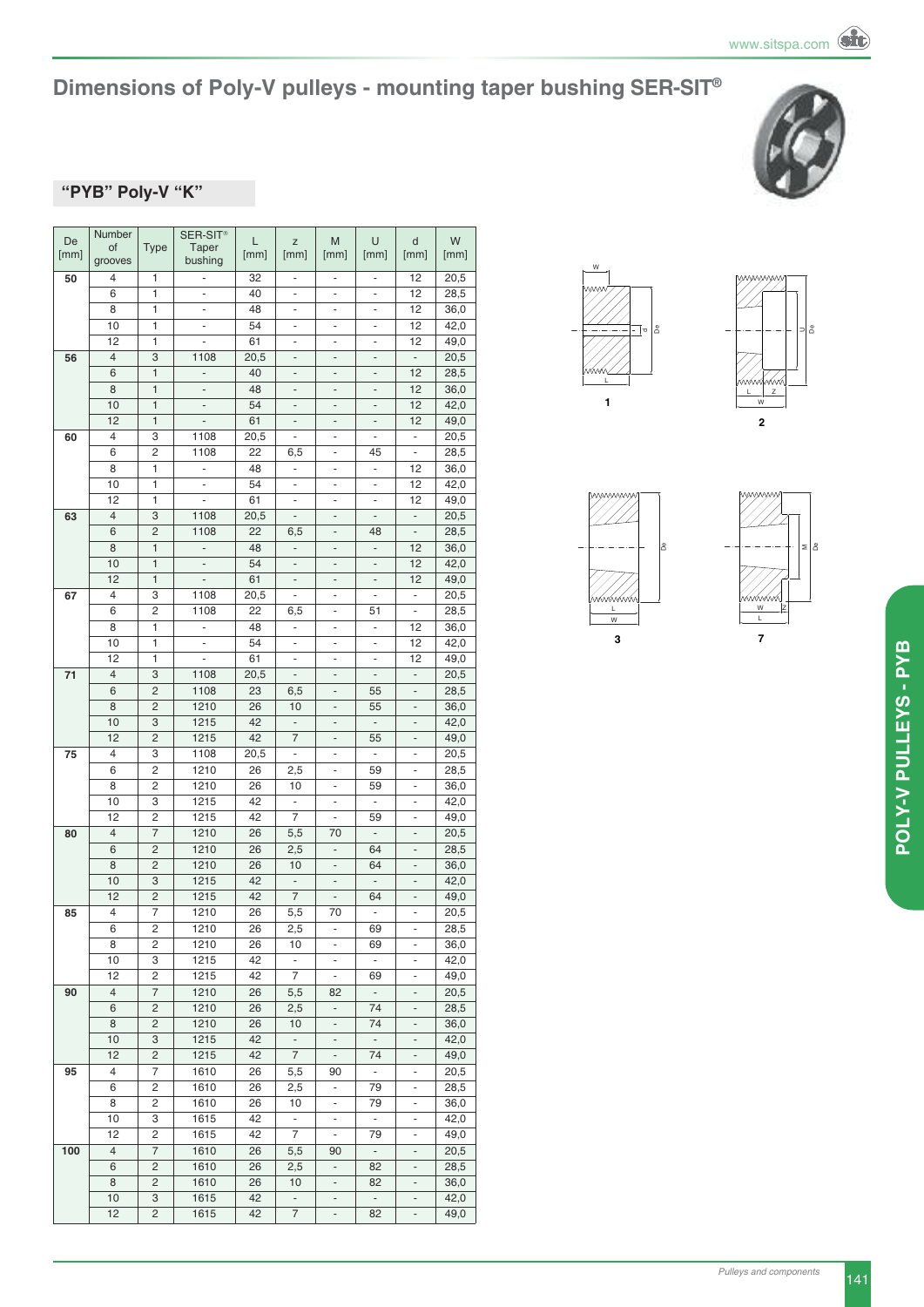

#### **"PyB" Poly-V "K"**

| De   | Number         |                     | SER-SIT <sup>®</sup>     | L        | Z                             | M                                             | U                              | d                             | W            |
|------|----------------|---------------------|--------------------------|----------|-------------------------------|-----------------------------------------------|--------------------------------|-------------------------------|--------------|
| [mm] | of<br>grooves  | <b>Type</b>         | Taper<br>bushing         | [mm]     | [mm]                          | [mm]                                          | [mm]                           | [mm]                          | [mm]         |
| 50   | 4              | 1                   | -                        | 32       | ۰                             | ۰                                             | ۰                              | 12                            | 20,5         |
|      | 6              | 1                   | $\overline{\phantom{m}}$ | 40       | $\qquad \qquad \blacksquare$  | $\qquad \qquad \blacksquare$                  | -                              | 12                            | 28,5         |
|      | 8              | 1                   | ÷,                       | 48       |                               |                                               |                                | 12                            | 36,0         |
|      | 10             | 1                   | $\blacksquare$           | 54       | $\blacksquare$                | $\qquad \qquad \blacksquare$                  | $\overline{\phantom{0}}$       | 12                            | 42,0         |
|      | 12             | 1                   | ÷,                       | 61       | ÷,                            | ÷,                                            | ÷,                             | 12                            | 49,0         |
| 56   | $\overline{4}$ | 3                   | 1108                     | 20,5     | $\qquad \qquad -$             | $\overline{\phantom{a}}$                      | $\overline{\phantom{m}}$       | $\frac{1}{2}$                 | 20,5         |
|      | 6              | $\mathbf{1}$        | ä,                       | 40       | $\frac{1}{2}$                 | $\frac{1}{2}$                                 | $\frac{1}{2}$                  | 12                            | 28,5         |
|      | 8              | 1                   | $\overline{\phantom{m}}$ | 48       | $\overline{\phantom{0}}$      | -                                             | -                              | 12                            | 36,0         |
|      | 10             | 1                   | $\overline{\phantom{m}}$ | 54       | ÷                             | $\qquad \qquad -$                             | $\overline{\phantom{m}}$       | 12                            | 42,0         |
|      | 12             | $\mathbf{1}$        | ä,                       | 61       | ÷,                            | $\overline{\phantom{a}}$                      | $\overline{a}$                 | 12                            | 49,0         |
| 60   | 4              | 3                   | 1108                     | 20,5     | ÷                             | $\qquad \qquad \blacksquare$                  | $\overline{\phantom{a}}$       | ÷,                            | 20,5         |
|      | 6              | 2                   | 1108                     | 22       | 6,5                           | $\overline{\phantom{0}}$                      | 45                             | $\frac{1}{2}$                 | 28,5         |
|      | 8<br>10        | 1<br>1              | ÷,<br>$\blacksquare$     | 48<br>54 | $\frac{1}{2}$<br>÷,           | $\overline{\phantom{m}}$                      | $\overline{\phantom{a}}$       | 12<br>12                      | 36,0         |
|      | 12             | 1                   | ÷,                       | 61       | ÷                             | $\blacksquare$<br>÷,                          | $\overline{\phantom{a}}$<br>÷, | 12                            | 42,0<br>49,0 |
| 63   | $\overline{4}$ | 3                   | 1108                     | 20,5     | ÷,                            | $\qquad \qquad \blacksquare$                  | $\qquad \qquad \blacksquare$   | $\qquad \qquad \blacksquare$  | 20,5         |
|      | 6              | 2                   | 1108                     | 22       | 6,5                           | ÷                                             | 48                             | $\frac{1}{2}$                 | 28,5         |
|      | 8              | 1                   | ÷,                       | 48       | ÷                             | $\overline{\phantom{0}}$                      | ÷,                             | 12                            | 36,0         |
|      | 10             | $\mathbf{1}$        | $\overline{\phantom{m}}$ | 54       | $\overline{\phantom{0}}$      | $\qquad \qquad -$                             | $\overline{\phantom{m}}$       | 12                            | 42,0         |
|      | 12             | $\mathbf{1}$        |                          | 61       | $\qquad \qquad -$             | -                                             | -                              | 12                            | 49,0         |
| 67   | 4              | 3                   | 1108                     | 20,5     | $\blacksquare$                | ۰                                             | $\overline{\phantom{a}}$       | $\overline{\phantom{a}}$      | 20,5         |
|      | 6              | 2                   | 1108                     | 22       | 6,5                           | $\overline{\phantom{a}}$                      | 51                             | $\overline{\phantom{a}}$      | 28,5         |
|      | 8              | 1                   | ÷                        | 48       | ÷                             | $\overline{a}$                                | ÷,                             | 12                            | 36,0         |
|      | 10             | 1                   | $\blacksquare$           | 54       | ÷,                            | $\blacksquare$                                | $\overline{\phantom{a}}$       | 12                            | 42,0         |
|      | 12             | 1                   | ÷,                       | 61       | $\overline{\phantom{a}}$      | $\qquad \qquad \blacksquare$                  | $\overline{\phantom{a}}$       | 12                            | 49,0         |
| 71   | $\overline{4}$ | 3                   | 1108                     | 20,5     | $\blacksquare$                | $\overline{\phantom{a}}$                      | $\qquad \qquad \blacksquare$   | ä,                            | 20,5         |
|      | 6              | 2                   | 1108                     | 23       | 6,5                           | ÷                                             | 55                             | $\overline{a}$                | 28,5         |
|      | 8              | 2                   | 1210                     | 26       | 10                            | $\qquad \qquad \blacksquare$                  | 55                             | $\qquad \qquad \blacksquare$  | 36,0         |
|      | 10<br>12       | 3<br>$\overline{c}$ | 1215<br>1215             | 42<br>42 | $\overline{\phantom{a}}$<br>7 | $\qquad \qquad -$                             | $\overline{\phantom{a}}$<br>55 | ÷                             | 42,0         |
| 75   | 4              | 3                   | 1108                     | 20,5     | $\blacksquare$                | $\qquad \qquad -$<br>$\overline{\phantom{m}}$ | $\blacksquare$                 | $\overline{\phantom{a}}$      | 49,0<br>20,5 |
|      | 6              | 2                   | 1210                     | 26       | 2,5                           | ٠                                             | 59                             | $\overline{\phantom{m}}$      | 28,5         |
|      | 8              | 2                   | 1210                     | 26       | 10                            | $\overline{\phantom{a}}$                      | 59                             | $\overline{\phantom{a}}$      | 36,0         |
|      | 10             | 3                   | 1215                     | 42       | ä,                            | $\blacksquare$                                | ä,                             | ÷,                            | 42,0         |
|      | 12             | 2                   | 1215                     | 42       | 7                             | ۰                                             | 59                             | -                             | 49,0         |
| 80   | $\overline{4}$ | 7                   | 1210                     | 26       | 5,5                           | 70                                            | $\blacksquare$                 | -                             | 20,5         |
|      | 6              | $\overline{c}$      | 1210                     | 26       | 2,5                           | $\qquad \qquad \blacksquare$                  | 64                             | ÷,                            | 28,5         |
|      | 8              | $\overline{c}$      | 1210                     | 26       | 10                            | $\overline{\phantom{m}}$                      | 64                             | $\overline{\phantom{a}}$      | 36,0         |
|      | 10             | 3                   | 1215                     | 42       | $\blacksquare$                | $\overline{\phantom{a}}$                      | $\overline{\phantom{a}}$       | $\overline{\phantom{m}}$      | 42,0         |
|      | 12             | $\overline{c}$      | 1215                     | 42       | $\overline{7}$                | -                                             | 64                             |                               | 49,0         |
| 85   | 4              | 7                   | 1210                     | 26       | 5,5                           | 70                                            | ÷,                             | ÷,                            | 20,5         |
|      | 6              | 2                   | 1210                     | 26       | 2,5                           | ۰                                             | 69                             |                               | 28,5         |
|      | 8              | 2<br>3              | 1210                     | 26       | 10<br>ä,                      | ٠                                             | 69<br>$\Box$                   | $\overline{\phantom{m}}$      | 36,0         |
|      | 10<br>12       | 2                   | 1215<br>1215             | 42<br>42 | $\overline{7}$                | ÷                                             | 69                             |                               | 42,0<br>49,0 |
| 90   | $\overline{4}$ | 7                   | 1210                     | 26       | 5,5                           | $\qquad \qquad \blacksquare$<br>82            | $\sim$                         | ۰<br>$\overline{\phantom{m}}$ | 20,5         |
|      | 6              | 2                   | 1210                     | 26       | 2,5                           | $\overline{\phantom{m}}$                      | 74                             |                               | 28,5         |
|      | 8              | 2                   | 1210                     | 26       | 10                            | $\overline{\phantom{a}}$                      | 74                             | $\overline{\phantom{a}}$      | 36,0         |
|      | 10             | 3                   | 1215                     | 42       | $\overline{\phantom{a}}$      | ۰                                             | $\overline{\phantom{a}}$       | $\overline{\phantom{m}}$      | 42,0         |
|      | 12             | 2                   | 1215                     | 42       | $\overline{7}$                | $\overline{\phantom{a}}$                      | 74                             | $\overline{\phantom{a}}$      | 49,0         |
| 95   | 4              | 7                   | 1610                     | 26       | 5,5                           | 90                                            | ÷.                             | $\overline{\phantom{a}}$      | 20,5         |
|      | 6              | 2                   | 1610                     | 26       | 2,5                           | $\qquad \qquad \blacksquare$                  | 79                             | ۰                             | 28,5         |
|      | 8              | 2                   | 1610                     | 26       | 10                            | ۰                                             | 79                             | -                             | 36,0         |
|      | 10             | 3                   | 1615                     | 42       | ÷                             | ۰                                             | ÷.                             | -                             | 42,0         |
|      | 12             | 2                   | 1615                     | 42       | 7                             | ÷                                             | 79                             | ۰                             | 49,0         |
| 100  | $\overline{4}$ | 7                   | 1610                     | 26       | 5,5                           | 90                                            | $\overline{\phantom{a}}$       | $\overline{a}$                | 20,5         |
|      | 6              | 2                   | 1610                     | 26       | 2,5                           | ÷                                             | 82                             |                               | 28,5         |
|      | 8              | 2                   | 1610                     | 26       | 10                            | $\overline{\phantom{a}}$                      | 82                             | $\overline{\phantom{a}}$      | 36,0         |
|      | 10             | 3                   | 1615                     | 42       | ÷,                            | $\overline{\phantom{a}}$                      | $\blacksquare$                 | $\qquad \qquad \blacksquare$  | 42,0         |
|      | 12             | 2                   | 1615                     | 42       | 7                             | $\qquad \qquad \blacksquare$                  | 82                             | $\overline{\phantom{m}}$      | 49,0         |







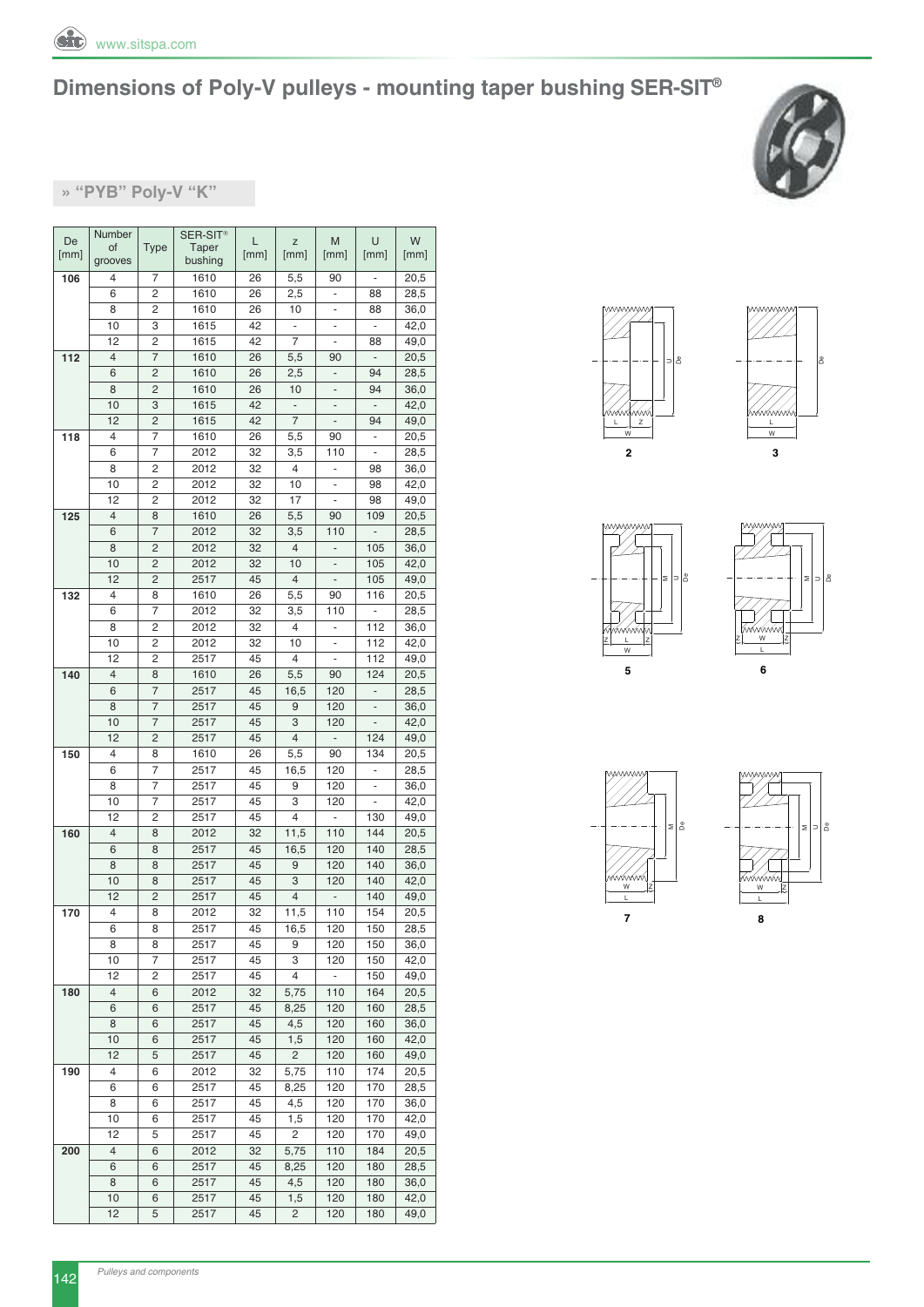



**» "PyB" Poly-V "K"**

| De   | Number         |                | SER-SIT <sup>®</sup> | L    | Z                        | M                            | U                        | W    |
|------|----------------|----------------|----------------------|------|--------------------------|------------------------------|--------------------------|------|
| [mm] | of             | <b>Type</b>    | Taper                | [mm] | [mm]                     | [mm]                         | [mm]                     | [mm] |
|      | grooves        |                | bushing              |      |                          |                              |                          |      |
| 106  | 4              | 7              | 1610                 | 26   | 5,5                      | 90                           | $\overline{\phantom{m}}$ | 20,5 |
|      | 6              | 2              | 1610                 | 26   | 2,5                      | $\overline{\phantom{a}}$     | 88                       | 28,5 |
|      | 8              | 2              | 1610                 | 26   | 10                       |                              | 88                       | 36,0 |
|      | 10             | 3              | 1615                 | 42   | ÷,                       | ÷,                           |                          | 42,0 |
|      | 12             | 2              | 1615                 | 42   | 7                        | ۰                            | 88                       | 49,0 |
| 112  | $\overline{4}$ | 7              | 1610                 | 26   | 5,5                      | 90                           | $\overline{\phantom{a}}$ | 20,5 |
|      | 6              | 2              | 1610                 | 26   | 2,5                      | ÷,                           | 94                       | 28,5 |
|      | 8              | 2              | 1610                 | 26   | 10                       | $\qquad \qquad \blacksquare$ | 94                       | 36,0 |
|      | 10             | 3              | 1615                 | 42   | $\overline{\phantom{a}}$ | $\qquad \qquad -$            |                          | 42,0 |
|      | 12             | $\overline{c}$ | 1615                 | 42   | $\overline{7}$           |                              | 94                       | 49,0 |
| 118  | 4              | 7              | 1610                 | 26   | 5,5                      | 90                           | $\blacksquare$           | 20,5 |
|      | 6              | 7              | 2012                 | 32   | 3,5                      | 110                          | ÷,                       | 28,5 |
|      | 8              | 2              | 2012                 | 32   | $\overline{4}$           | $\qquad \qquad \blacksquare$ | 98                       | 36,0 |
|      | 10             | 2              | 2012                 | 32   | 10                       |                              | 98                       | 42,0 |
|      | 12             | 2              | 2012                 | 32   | 17                       | ۰                            | 98                       | 49,0 |
| 125  | $\overline{4}$ | 8              | 1610                 | 26   | 5,5                      | 90                           | 109                      | 20,5 |
|      | 6              | 7              | 2012                 | 32   | 3,5                      | 110                          | $\overline{\phantom{a}}$ | 28,5 |
|      | 8              | 2              | 2012                 | 32   | $\overline{4}$           | $\overline{\phantom{a}}$     | 105                      | 36,0 |
|      | 10             | 2              | 2012                 | 32   | 10                       | $\qquad \qquad \blacksquare$ | 105                      | 42,0 |
|      | 12             | $\overline{c}$ | 2517                 | 45   | $\overline{4}$           |                              | 105                      | 49,0 |
| 132  | 4              | 8              | 1610                 | 26   | 5,5                      | 90                           | 116                      | 20,5 |
|      | 6              | 7              | 2012                 | 32   | 3,5                      | 110                          |                          | 28,5 |
|      | 8              | 2              | 2012                 | 32   | $\overline{4}$           | $\overline{\phantom{0}}$     | 112                      | 36,0 |
|      | 10             | 2              | 2012                 | 32   | 10                       |                              | 112                      | 42,0 |
|      | 12             | 2              | 2517                 | 45   | 4                        | ÷                            | 112                      | 49,0 |
| 140  | $\overline{4}$ | 8              | 1610                 | 26   | 5,5                      | 90                           | 124                      | 20,5 |
|      | 6              | 7              | 2517                 | 45   | 16,5                     | 120                          | ÷,                       | 28,5 |
|      | 8              | 7              | 2517                 | 45   | 9                        | 120                          | $\overline{\phantom{a}}$ | 36,0 |
|      | 10             | 7              | 2517                 | 45   | 3                        | 120                          |                          | 42,0 |
|      | 12             | $\overline{c}$ | 2517                 | 45   | $\overline{4}$           | $\overline{\phantom{a}}$     | 124                      | 49,0 |
| 150  | 4              | 8              | 1610                 | 26   | 5,5                      | 90                           | 134                      | 20,5 |
|      | 6              | 7              | 2517                 | 45   | 16,5                     | 120                          | -                        | 28,5 |
|      | 8              | 7              | 2517                 | 45   | 9                        | 120                          | $\overline{\phantom{m}}$ | 36,0 |
|      | 10             | 7              | 2517                 | 45   | 3                        | 120                          |                          | 42,0 |
|      | 12             | 2              | 2517                 | 45   | 4                        | ÷,                           | 130                      | 49,0 |
| 160  | 4              | 8              | 2012                 | 32   | 11,5                     | 110                          | 144                      | 20,5 |
|      | 6              | 8              | 2517                 | 45   | 16,5                     | 120                          | 140                      | 28,5 |
|      | 8              | 8              | 2517                 | 45   | 9                        | 120                          | 140                      | 36,0 |
|      | 10             | 8              | 2517                 | 45   | 3                        | 120                          | 140                      | 42,0 |
|      | 12             | $\overline{c}$ | 2517                 | 45   | $\overline{4}$           | $\qquad \qquad -$            | 140                      | 49,0 |
| 170  | 4              | 8              | 2012                 | 32   | 11,5                     | 110                          | 154                      | 20,5 |
|      | 6              | 8              | 2517                 | 45   | 16,5                     | 120                          | 150                      | 28,5 |
|      | 8              | 8              | 2517                 | 45   | 9                        | 120                          | 150                      | 36,0 |
|      | 10             | 7              | 2517                 | 45   | 3                        | 120                          | 150                      | 42,0 |
|      | 12             | 2              | 2517                 | 45   | 4                        | ÷                            | 150                      | 49,0 |
| 180  | 4              | 6              | 2012                 | 32   | 5,75                     | 110                          | 164                      | 20,5 |
|      | 6              | 6              | 2517                 | 45   | 8,25                     | 120                          | 160                      | 28,5 |
|      | 8              | 6              | 2517                 | 45   | 4,5                      | 120                          | 160                      | 36,0 |
|      | 10             | 6              | 2517                 | 45   | 1,5                      | 120                          | 160                      | 42,0 |
|      | 12             | 5              | 2517                 | 45   | 2                        | 120                          | 160                      | 49,0 |
| 190  | 4              | 6              | 2012                 | 32   | 5,75                     | 110                          | 174                      | 20,5 |
|      | 6              | 6              | 2517                 | 45   | 8,25                     | 120                          | 170                      | 28,5 |
|      | 8              | 6              | 2517                 | 45   | 4,5                      | 120                          | 170                      | 36,0 |
|      | 10             | 6              | 2517                 | 45   | 1,5                      | 120                          | 170                      | 42,0 |
|      | 12             | 5              | 2517                 | 45   | 2                        | 120                          | 170                      | 49,0 |
|      | 4              |                | 2012                 | 32   |                          | 110                          | 184                      |      |
| 200  | 6              | 6<br>6         |                      |      | 5,75                     |                              |                          | 20,5 |
|      |                |                | 2517                 | 45   | 8,25                     | 120                          | 180                      | 28,5 |
|      | 8              | 6              | 2517                 | 45   | 4,5                      | 120                          | 180                      | 36,0 |
|      | 10             | 6              | 2517                 | 45   | 1,5                      | 120                          | 180                      | 42,0 |
|      | 12             | 5              | 2517                 | 45   | 2                        | 120                          | 180                      | 49,0 |











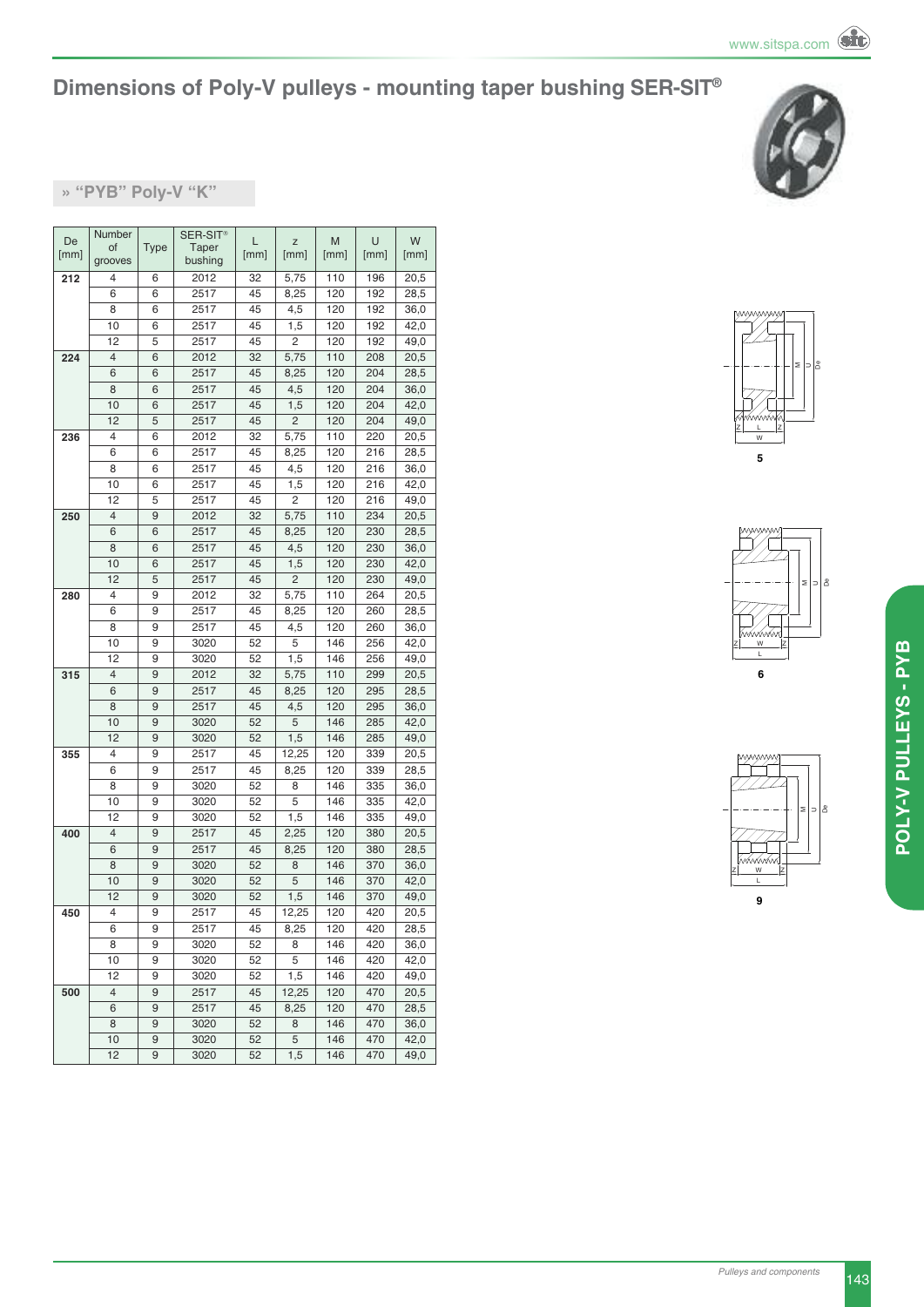#### **» "PyB" Poly-V "K"**

| De   | Number  |             | SER-SIT <sup>®</sup> | L    | Z     | M    | U    | W    |
|------|---------|-------------|----------------------|------|-------|------|------|------|
| [mm] | of      | <b>Type</b> | Taper                | [mm] | [mm]  | [mm] | [mm] | [mm] |
|      | grooves |             | bushing              |      |       |      |      |      |
| 212  | 4       | 6           | 2012                 | 32   | 5,75  | 110  | 196  | 20,5 |
|      | 6       | 6           | 2517                 | 45   | 8,25  | 120  | 192  | 28,5 |
|      | 8       | 6           | 2517                 | 45   | 4,5   | 120  | 192  | 36,0 |
|      | 10      | 6           | 2517                 | 45   | 1,5   | 120  | 192  | 42,0 |
|      | 12      | 5           | 2517                 | 45   | 2     | 120  | 192  | 49,0 |
| 224  | 4       | 6           | 2012                 | 32   | 5,75  | 110  | 208  | 20,5 |
|      | 6       | 6           | 2517                 | 45   | 8,25  | 120  | 204  | 28,5 |
|      | 8       | 6           | 2517                 | 45   | 4,5   | 120  | 204  | 36,0 |
|      | 10      | 6           | 2517                 | 45   | 1,5   | 120  | 204  | 42,0 |
|      | 12      | 5           | 2517                 | 45   | 2     | 120  | 204  | 49,0 |
| 236  | 4       | 6           | 2012                 | 32   | 5,75  | 110  | 220  | 20,5 |
|      | 6       | 6           | 2517                 | 45   | 8,25  | 120  | 216  | 28,5 |
|      | 8       | 6           | 2517                 | 45   | 4,5   | 120  | 216  | 36,0 |
|      | 10      | 6           | 2517                 | 45   | 1,5   | 120  | 216  | 42,0 |
|      | 12      | 5           | 2517                 | 45   | 2     | 120  | 216  | 49,0 |
| 250  | 4       | 9           | 2012                 | 32   | 5,75  | 110  | 234  | 20,5 |
|      | 6       | 6           | 2517                 | 45   | 8,25  | 120  | 230  | 28,5 |
|      | 8       | 6           | 2517                 | 45   | 4,5   | 120  | 230  | 36,0 |
|      | 10      | 6           | 2517                 | 45   | 1,5   | 120  | 230  | 42,0 |
|      | 12      | 5           | 2517                 | 45   | 2     | 120  | 230  | 49,0 |
| 280  | 4       | 9           | 2012                 | 32   | 5,75  | 110  | 264  | 20,5 |
|      | 6       | 9           | 2517                 | 45   | 8,25  | 120  | 260  | 28,5 |
|      | 8       | 9           | 2517                 | 45   | 4,5   | 120  | 260  | 36,0 |
|      | 10      | 9           | 3020                 | 52   | 5     | 146  | 256  | 42,0 |
|      | 12      | 9           | 3020                 | 52   | 1,5   | 146  | 256  | 49,0 |
| 315  | 4       | 9           | 2012                 | 32   | 5,75  | 110  | 299  | 20,5 |
|      | 6       | 9           | 2517                 | 45   | 8,25  | 120  | 295  | 28,5 |
|      | 8       | 9           | 2517                 | 45   | 4,5   | 120  | 295  | 36,0 |
|      | 10      | 9           | 3020                 | 52   | 5     | 146  | 285  | 42,0 |
|      | 12      | 9           | 3020                 | 52   | 1,5   | 146  | 285  | 49,0 |
| 355  | 4       | 9           | 2517                 | 45   | 12,25 | 120  | 339  | 20,5 |
|      | 6       | 9           | 2517                 | 45   | 8,25  | 120  | 339  | 28,5 |
|      | 8       | 9           | 3020                 | 52   | 8     | 146  | 335  | 36,0 |
|      | 10      | 9           | 3020                 | 52   | 5     | 146  | 335  | 42,0 |
|      | 12      | 9           | 3020                 | 52   | 1,5   | 146  | 335  | 49,0 |
| 400  | 4       | 9           | 2517                 | 45   | 2,25  | 120  | 380  | 20,5 |
|      | 6       | 9           | 2517                 | 45   | 8,25  | 120  | 380  | 28,5 |
|      | 8       | 9           | 3020                 | 52   | 8     | 146  | 370  | 36,0 |
|      | 10      | 9           | 3020                 | 52   | 5     | 146  | 370  | 42,0 |
|      | 12      | 9           | 3020                 | 52   | 1,5   | 146  | 370  | 49,0 |
| 450  | 4       | 9           | 2517                 | 45   | 12,25 | 120  | 420  | 20,5 |
|      | 6       | 9           | 2517                 | 45   | 8,25  | 120  | 420  | 28,5 |
|      | 8       | 9           | 3020                 | 52   | 8     | 146  | 420  | 36,0 |
|      | 10      | 9           | 3020                 | 52   | 5     | 146  | 420  | 42,0 |
|      | 12      | 9           | 3020                 | 52   | 1,5   | 146  | 420  | 49,0 |
| 500  | 4       | 9           | 2517                 | 45   | 12,25 | 120  | 470  | 20,5 |
|      | 6       | 9           | 2517                 | 45   | 8,25  | 120  | 470  | 28,5 |
|      | 8       | 9           | 3020                 | 52   | 8     | 146  | 470  | 36,0 |
|      | 10      | 9           | 3020                 | 52   | 5     | 146  | 470  | 42,0 |
|      | 12      | 9           | 3020                 | 52   | 1,5   | 146  | 470  | 49,0 |
|      |         |             |                      |      |       |      |      |      |





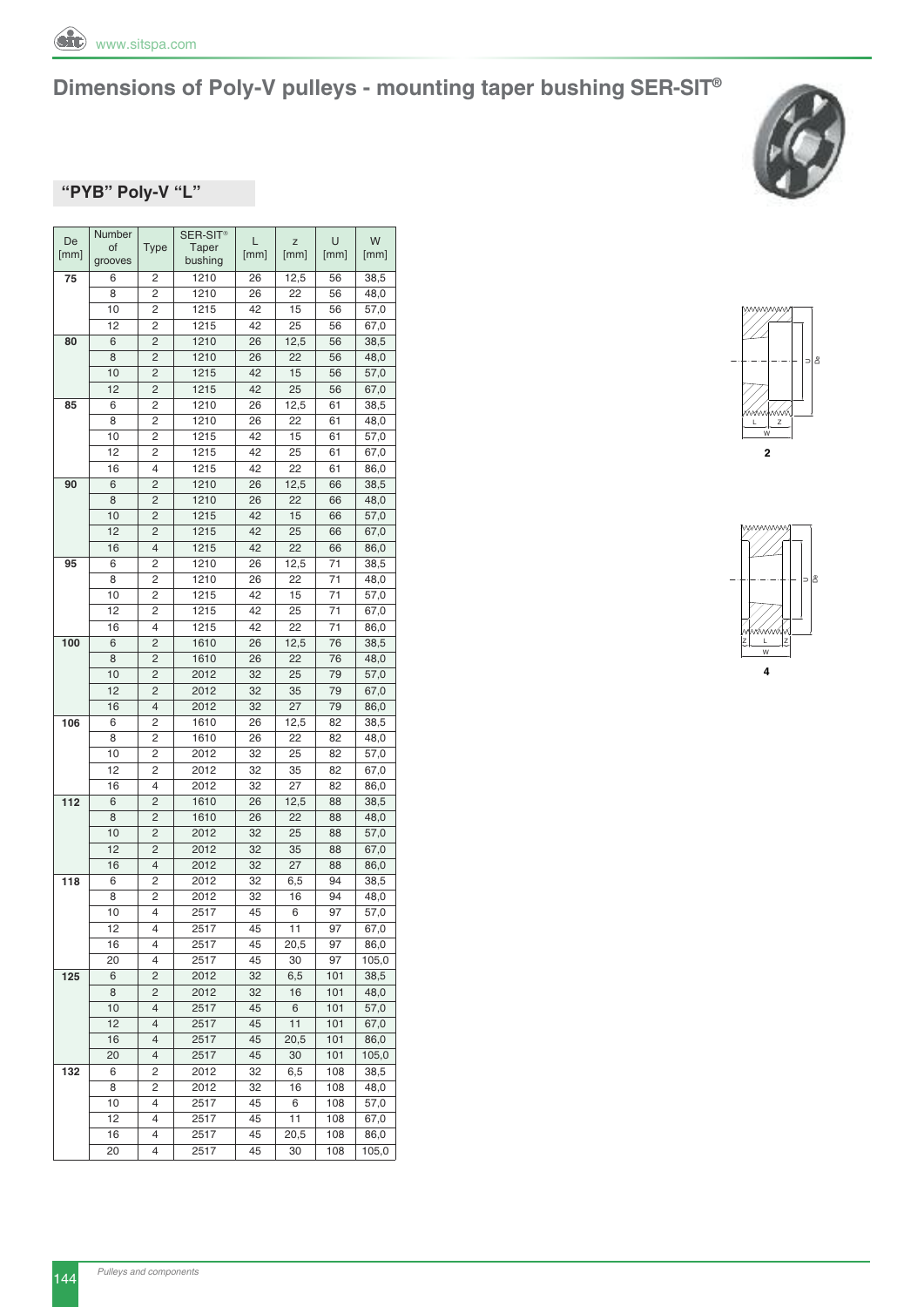



#### **"PyB" Poly-V "L"**

| De   | Number  |                | SER-SIT <sup>®</sup> | L    | Z    | U    | W     |
|------|---------|----------------|----------------------|------|------|------|-------|
| [mm] | of      | Type           | Taper                | [mm] | [mm] | [mm] | [mm]  |
|      | grooves |                | bushing              |      |      |      |       |
| 75   | 6       | 2              | 1210                 | 26   | 12,5 | 56   | 38,5  |
|      | 8       | 2              | 1210                 | 26   | 22   | 56   | 48,0  |
|      | 10      | 2              | 1215                 | 42   | 15   | 56   | 57,0  |
|      | 12      | 2              | 1215                 | 42   | 25   | 56   | 67,0  |
| 80   | 6       | 2              | 1210                 | 26   | 12,5 | 56   | 38,5  |
|      | 8       | $\overline{c}$ | 1210                 | 26   | 22   | 56   | 48,0  |
|      | 10      | 2              | 1215                 | 42   | 15   | 56   | 57,0  |
|      | 12      | 2              | 1215                 | 42   | 25   | 56   | 67,0  |
| 85   | 6       | 2              | 1210                 | 26   | 12,5 | 61   | 38,5  |
|      | 8       | 2              | 1210                 | 26   | 22   | 61   | 48,0  |
|      | 10      | 2              | 1215                 | 42   | 15   | 61   | 57,0  |
|      | 12      | 2              | 1215                 | 42   | 25   | 61   | 67,0  |
|      | 16      | 4              | 1215                 | 42   | 22   | 61   | 86,0  |
| 90   | 6       | 2              | 1210                 | 26   | 12,5 | 66   | 38,5  |
|      |         |                |                      |      |      |      |       |
|      | 8       | 2              | 1210                 | 26   | 22   | 66   | 48,0  |
|      | 10      | 2              | 1215                 | 42   | 15   | 66   | 57,0  |
|      | 12      | 2              | 1215                 | 42   | 25   | 66   | 67,0  |
|      | 16      | 4              | 1215                 | 42   | 22   | 66   | 86,0  |
| 95   | 6       | 2              | 1210                 | 26   | 12,5 | 71   | 38,5  |
|      | 8       | 2              | 1210                 | 26   | 22   | 71   | 48,0  |
|      | 10      | 2              | 1215                 | 42   | 15   | 71   | 57,0  |
|      | 12      | 2              | 1215                 | 42   | 25   | 71   | 67,0  |
|      | 16      | 4              | 1215                 | 42   | 22   | 71   | 86,0  |
| 100  | 6       | 2              | 1610                 | 26   | 12,5 | 76   | 38,5  |
|      | 8       | 2              | 1610                 | 26   | 22   | 76   | 48,0  |
|      | 10      | 2              | 2012                 | 32   | 25   | 79   | 57,0  |
|      | 12      | 2              | 2012                 | 32   | 35   | 79   | 67,0  |
|      | 16      | 4              | 2012                 | 32   | 27   | 79   | 86,0  |
| 106  | 6       | 2              | 1610                 | 26   | 12,5 | 82   | 38,5  |
|      | 8       | 2              | 1610                 | 26   | 22   | 82   | 48,0  |
|      | 10      | 2              | 2012                 | 32   | 25   | 82   | 57,0  |
|      | 12      | 2              | 2012                 | 32   | 35   | 82   | 67,0  |
|      | 16      | 4              | 2012                 | 32   | 27   | 82   | 86,0  |
| 112  | 6       | 2              | 1610                 | 26   | 12,5 | 88   | 38,5  |
|      | 8       | 2              | 1610                 | 26   | 22   | 88   | 48,0  |
|      | 10      | 2              | 2012                 | 32   | 25   | 88   | 57,0  |
|      | 12      | 2              | 2012                 | 32   | 35   | 88   | 67,0  |
|      | 16      | 4              | 2012                 | 32   | 27   | 88   | 86,0  |
| 118  | 6       | 2              | 2012                 | 32   | 6,5  | 94   | 38,5  |
|      | 8       | 2              | 2012                 | 32   | 16   | 94   | 48,0  |
|      | 10      | 4              | 2517                 | 45   | 6    | 97   | 57,0  |
|      | 12      | 4              | 2517                 | 45   | 11   | 97   | 67,0  |
|      |         |                |                      |      |      |      |       |
|      | 16      | 4              | 2517                 | 45   | 20,5 | 97   | 86,0  |
|      | 20      | 4              | 2517                 | 45   | 30   | 97   | 105,0 |
| 125  | 6       | 2              | 2012                 | 32   | 6,5  | 101  | 38,5  |
|      | 8       | 2              | 2012                 | 32   | 16   | 101  | 48,0  |
|      | 10      | 4              | 2517                 | 45   | 6    | 101  | 57,0  |
|      | 12      | $\overline{4}$ | 2517                 | 45   | 11   | 101  | 67,0  |
|      | 16      | 4              | 2517                 | 45   | 20,5 | 101  | 86,0  |
|      | 20      | 4              | 2517                 | 45   | 30   | 101  | 105,0 |
| 132  | 6       | 2              | 2012                 | 32   | 6,5  | 108  | 38,5  |
|      | 8       | 2              | 2012                 | 32   | 16   | 108  | 48,0  |
|      | 10      | 4              | 2517                 | 45   | 6    | 108  | 57,0  |
|      | 12      | 4              | 2517                 | 45   | 11   | 108  | 67,0  |
|      | 16      | 4              | 2517                 | 45   | 20,5 | 108  | 86,0  |
|      | 20      | 4              | 2517                 | 45   | 30   | 108  | 105,0 |
|      |         |                |                      |      |      |      |       |



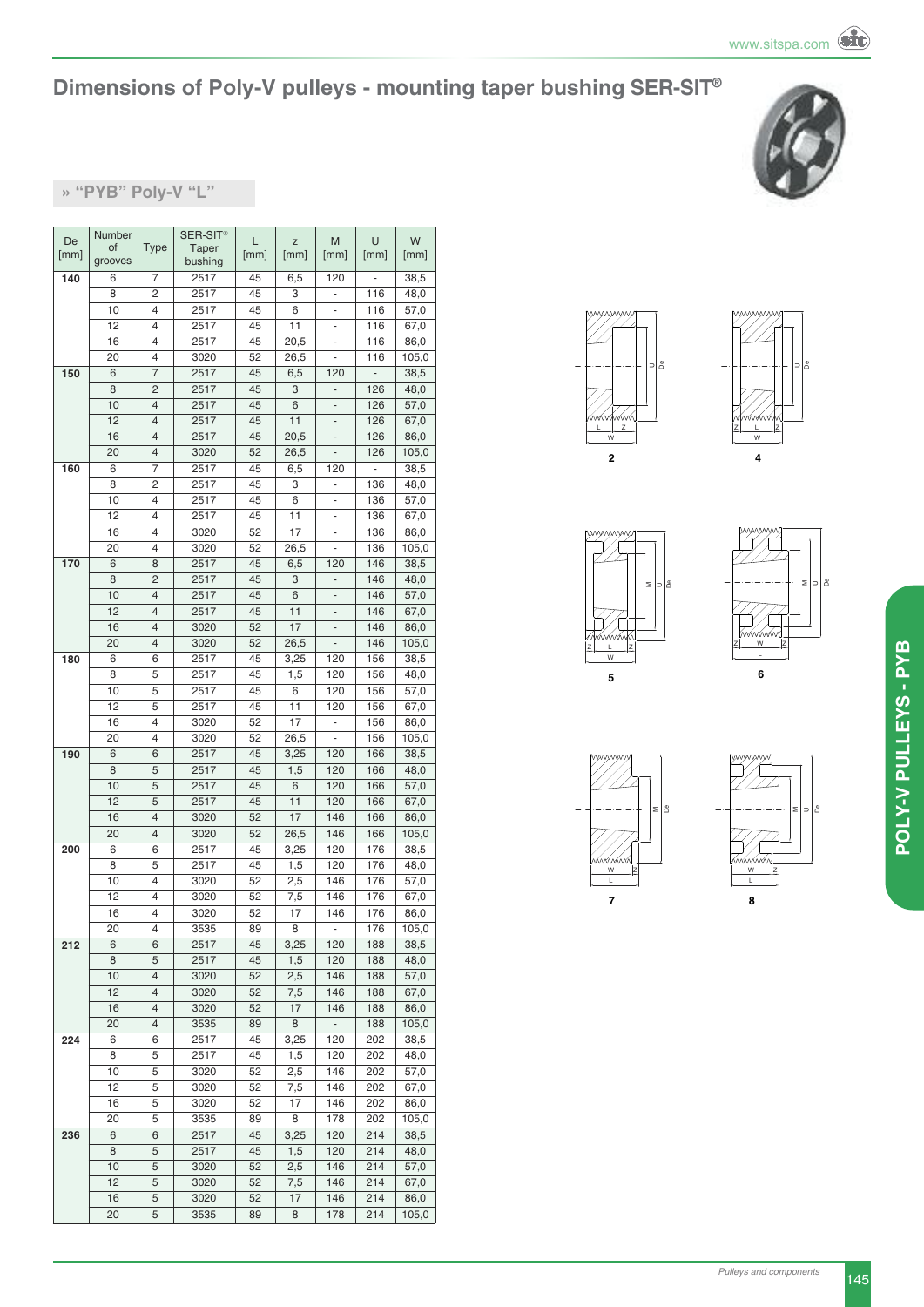#### **» "PyB" Poly-V "L"**

| De   | Number  |                | SER-SIT <sup>®</sup> | L    | Z    | M                        | U    | W     |
|------|---------|----------------|----------------------|------|------|--------------------------|------|-------|
| [mm] | of      | <b>Type</b>    | Taper                | [mm] | [mm] | [mm]                     | [mm] | [mm]  |
|      | grooves |                | bushing              |      |      |                          |      |       |
| 140  | 6       | 7              | 2517                 | 45   | 6,5  | 120                      |      | 38,5  |
|      | 8       | 2              | 2517                 | 45   | 3    | $\frac{1}{2}$            | 116  | 48,0  |
|      | 10      | 4              | 2517                 | 45   | 6    |                          | 116  | 57,0  |
|      | 12      | 4              | 2517                 | 45   | 11   | ÷                        | 116  | 67,0  |
|      | 16      | 4              | 2517                 | 45   | 20,5 | ۰                        | 116  | 86,0  |
|      | 20      | 4              | 3020                 | 52   | 26,5 | $\overline{\phantom{0}}$ | 116  | 105,0 |
| 150  | 6       | $\overline{7}$ | 2517                 | 45   | 6,5  | 120                      | L,   | 38,5  |
|      | 8       | 2              | 2517                 | 45   | 3    | -                        | 126  | 48,0  |
|      | 10      | 4              | 2517                 | 45   | 6    | $\qquad \qquad -$        | 126  | 57,0  |
|      | 12      | 4              | 2517                 | 45   | 11   | ÷,                       | 126  | 67,0  |
|      | 16      | 4              | 2517                 | 45   | 20,5 | ÷                        | 126  | 86,0  |
|      | 20      | 4              | 3020                 | 52   | 26,5 | $\frac{1}{2}$            | 126  | 105,0 |
| 160  | 6       | 7              | 2517                 | 45   | 6,5  | 120                      | -    | 38,5  |
|      | 8       | 2              | 2517                 | 45   | 3    | ٠                        | 136  | 48,0  |
|      | 10      | 4              |                      |      |      |                          |      |       |
|      |         |                | 2517                 | 45   | 6    | ۰                        | 136  | 57,0  |
|      | 12      | 4              | 2517                 | 45   | 11   | $\overline{a}$           | 136  | 67,0  |
|      | 16      | 4              | 3020                 | 52   | 17   | ÷,                       | 136  | 86,0  |
|      | 20      | 4              | 3020                 | 52   | 26,5 | ÷                        | 136  | 105,0 |
| 170  | 6       | 8              | 2517                 | 45   | 6,5  | 120                      | 146  | 38,5  |
|      | 8       | 2              | 2517                 | 45   | 3    |                          | 146  | 48,0  |
|      | 10      | 4              | 2517                 | 45   | 6    | ÷,                       | 146  | 57,0  |
|      | 12      | 4              | 2517                 | 45   | 11   | $\overline{\phantom{0}}$ | 146  | 67,0  |
|      | 16      | 4              | 3020                 | 52   | 17   |                          | 146  | 86,0  |
|      | 20      | 4              | 3020                 | 52   | 26,5 | ÷,                       | 146  | 105,0 |
| 180  | 6       | 6              | 2517                 | 45   | 3,25 | 120                      | 156  | 38,5  |
|      | 8       | 5              | 2517                 | 45   | 1,5  | 120                      | 156  | 48,0  |
|      | 10      | 5              | 2517                 | 45   | 6    | 120                      | 156  | 57,0  |
|      | 12      | 5              | 2517                 | 45   | 11   | 120                      | 156  | 67,0  |
|      | 16      | 4              | 3020                 | 52   | 17   | $\frac{1}{2}$            | 156  | 86,0  |
|      | 20      | 4              | 3020                 | 52   | 26,5 |                          | 156  | 105,0 |
| 190  | 6       | 6              | 2517                 | 45   | 3,25 | 120                      | 166  | 38,5  |
|      | 8       | 5              | 2517                 | 45   | 1,5  | 120                      | 166  | 48,0  |
|      | 10      | 5              | 2517                 | 45   | 6    | 120                      | 166  | 57,0  |
|      | 12      | 5              | 2517                 | 45   | 11   | 120                      | 166  | 67,0  |
|      |         | 4              |                      |      | 17   | 146                      |      |       |
|      | 16      |                | 3020                 | 52   |      |                          | 166  | 86,0  |
|      | 20      | 4              | 3020                 | 52   | 26,5 | 146                      | 166  | 105,0 |
| 200  | 6       | 6              | 2517                 | 45   | 3,25 | 120                      | 176  | 38,5  |
|      | 8       | 5              | 2517                 | 45   | 1,5  | 120                      | 176  | 48,0  |
|      | 10      | 4              | 3020                 | 52   | 2,5  | 146                      | 176  | 57,0  |
|      | 12      | 4              | 3020                 | 52   | 7,5  | 146                      | 176  | 67,0  |
|      | 16      | 4              | 3020                 | 52   | 17   | 146                      | 176  | 86,0  |
|      | 20      | 4              | 3535                 | 89   | 8    | $\overline{\phantom{a}}$ | 176  | 105,0 |
| 212  | 6       | 6              | 2517                 | 45   | 3,25 | 120                      | 188  | 38,5  |
|      | 8       | 5              | 2517                 | 45   | 1,5  | 120                      | 188  | 48,0  |
|      | 10      | 4              | 3020                 | 52   | 2,5  | 146                      | 188  | 57,0  |
|      | 12      | 4              | 3020                 | 52   | 7,5  | 146                      | 188  | 67,0  |
|      | 16      | 4              | 3020                 | 52   | 17   | 146                      | 188  | 86,0  |
|      | 20      | 4              | 3535                 | 89   | 8    | $\overline{\phantom{a}}$ | 188  | 105,0 |
| 224  | 6       | 6              | 2517                 | 45   | 3,25 | 120                      | 202  | 38,5  |
|      | 8       | 5              | 2517                 | 45   | 1,5  | 120                      | 202  | 48,0  |
|      | 10      | 5              | 3020                 | 52   | 2,5  | 146                      | 202  | 57,0  |
|      | 12      | 5              | 3020                 | 52   | 7,5  | 146                      | 202  | 67,0  |
|      | 16      | 5              | 3020                 | 52   | 17   | 146                      | 202  | 86,0  |
|      | 20      | 5              | 3535                 | 89   | 8    | 178                      | 202  | 105,0 |
| 236  | 6       | 6              | 2517                 | 45   | 3,25 | 120                      | 214  | 38,5  |
|      | 8       | 5              |                      | 45   |      | 120                      | 214  |       |
|      |         |                | 2517                 |      | 1,5  |                          |      | 48,0  |
|      | 10      | 5              | 3020                 | 52   | 2,5  | 146                      | 214  | 57,0  |
|      | 12      | 5              | 3020                 | 52   | 7,5  | 146                      | 214  | 67,0  |
|      | 16      | 5              | 3020                 | 52   | 17   | 146                      | 214  | 86,0  |
|      | 20      | 5              | 3535                 | 89   | 8    | 178                      | 214  | 105,0 |